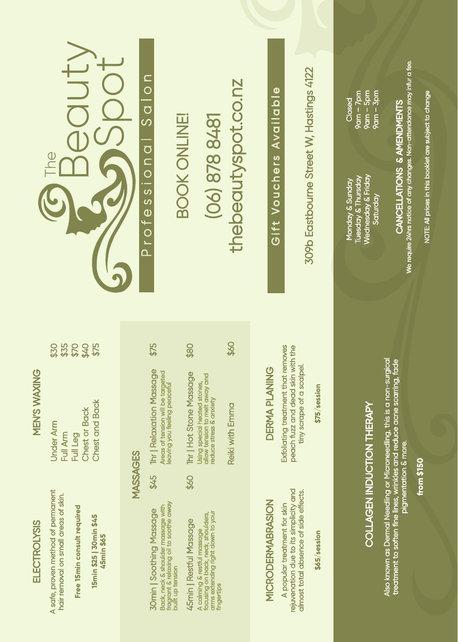| The                                                       | NUDO                                                                                                         |          | ⊂<br>O<br>$\frac{1}{\circ}$<br>Professiona                                                                                                  | 06) 878 8481<br><b>BOOK ONLINE!</b>                                                                                                       | thebeautyspot.co.nz | Gift Vouchers Available                                  | 309b Eastbourne Street W, Hastings 4122                                                                              | $9$ am – $5$ pm<br>$9$ am – $3$ pm<br>$9$ am – $7$ pm<br>Closed<br><b>Nednesday &amp; Friday</b><br>Tuesday & Thursday<br>Monday & Sunday<br>Saturday | We require 24hrs notice of any changes. Non-attendance may infur a fee.<br>NOTE: All prices in this booklet are subject to change<br>CANCELLATIONS & AMENDMENTS                         |
|-----------------------------------------------------------|--------------------------------------------------------------------------------------------------------------|----------|---------------------------------------------------------------------------------------------------------------------------------------------|-------------------------------------------------------------------------------------------------------------------------------------------|---------------------|----------------------------------------------------------|----------------------------------------------------------------------------------------------------------------------|-------------------------------------------------------------------------------------------------------------------------------------------------------|-----------------------------------------------------------------------------------------------------------------------------------------------------------------------------------------|
| \$30                                                      | 888<br>\$75                                                                                                  |          | \$75                                                                                                                                        | \$80                                                                                                                                      | \$60                |                                                          |                                                                                                                      |                                                                                                                                                       |                                                                                                                                                                                         |
| MEN'S WAXING<br><b>Under Arm</b>                          | <b>Chest and Back</b><br><b>Chest or Back</b><br>Full Arm<br>Full Leg                                        |          | <b>1hr   Relaxation Massage</b><br>Areas of tension will be targeted<br>leaving you feeling peaceful                                        | <b>1hr   Hot Stone Massage</b><br>Using special heated stones,<br>allow tension to melt away and<br>reduce stress & anxiety               | Reiki with Emma     | DERMA PLANING                                            | peach fuzz and dead skin with the<br>Exfoliating treatment that removes<br>tiny scrape of a scalpel.<br>\$75/session |                                                                                                                                                       |                                                                                                                                                                                         |
| A safe, proven method of permanent<br><b>ELECTROLYSIS</b> | hair removal on small areas of skin.<br>Free 15min consult required<br>15min \$25   30min \$45<br>45min \$65 | MASSAGES | \$45<br>Back, neck & shoulder massage with<br>fragrant & relaxing oil to soothe away<br><b>30min   Soothing Massage</b><br>built up tension | \$60<br>arms extending right down to your<br>focusing on back, neck, shoulders,<br>45min   Restful Massage<br>A calming & restful massage | fingertips          | <b>MICRODERMABRASION</b><br>A popular treatment for skin | rejuvenation due to its simplicity and<br>almost total absence of side effects.<br>\$65/session                      | COLLAGEN INDUCTION THERAPY                                                                                                                            | Also known as Dermal Needling or Microneedling, this is a non-surgical<br>treatment to soften fine lines, wrinkles and reduce acne scarring, fade<br>pigmentation & more.<br>from \$150 |